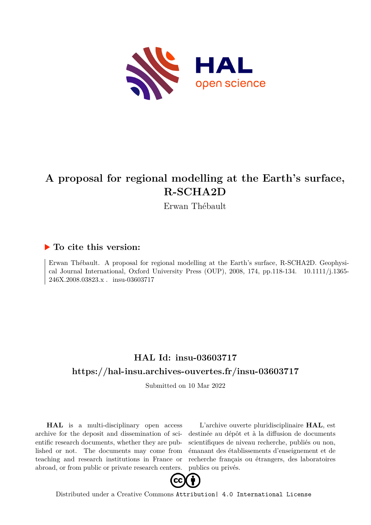

# **A proposal for regional modelling at the Earth's surface, R-SCHA2D**

Erwan Thébault

# **To cite this version:**

Erwan Thébault. A proposal for regional modelling at the Earth's surface, R-SCHA2D. Geophysical Journal International, Oxford University Press  $(OUP)$ , 2008, 174, pp.118-134.  $10.1111/j.1365-$ 246X.2008.03823.x . insu-03603717

# **HAL Id: insu-03603717 <https://hal-insu.archives-ouvertes.fr/insu-03603717>**

Submitted on 10 Mar 2022

**HAL** is a multi-disciplinary open access archive for the deposit and dissemination of scientific research documents, whether they are published or not. The documents may come from teaching and research institutions in France or abroad, or from public or private research centers.

L'archive ouverte pluridisciplinaire **HAL**, est destinée au dépôt et à la diffusion de documents scientifiques de niveau recherche, publiés ou non, émanant des établissements d'enseignement et de recherche français ou étrangers, des laboratoires publics ou privés.



Distributed under a Creative Commons [Attribution| 4.0 International License](http://creativecommons.org/licenses/by/4.0/)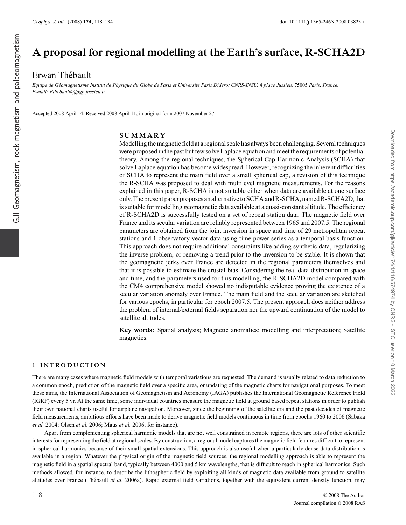# **A proposal for regional modelling at the Earth's surface, R-SCHA2D**

# Erwan Thébault

*Equipe de G´eomagn´etisme Institut de Physique du Globe de Paris et Universit´e Paris Diderot CNRS-INSU,* 4 *place Jussieu,* 75005 *Paris, France. E-mail: Ethebault@jpgp.jussieu.fr*

Accepted 2008 April 14. Received 2008 April 11; in original form 2007 November 27

#### **SUMMARY**

Modelling the magnetic field at a regional scale has always been challenging. Several techniques were proposed in the past but few solve Laplace equation and meet the requirements of potential theory. Among the regional techniques, the Spherical Cap Harmonic Analysis (SCHA) that solve Laplace equation has become widespread. However, recognizing the inherent difficulties of SCHA to represent the main field over a small spherical cap, a revision of this technique the R-SCHA was proposed to deal with multilevel magnetic measurements. For the reasons explained in this paper, R-SCHA is not suitable either when data are available at one surface only. The present paper proposes an alternative to SCHA and R-SCHA, named R-SCHA2D, that is suitable for modelling geomagnetic data available at a quasi-constant altitude. The efficiency of R-SCHA2D is successfully tested on a set of repeat station data. The magnetic field over France and its secular variation are reliably represented between 1965 and 2007.5. The regional parameters are obtained from the joint inversion in space and time of 29 metropolitan repeat stations and 1 observatory vector data using time power series as a temporal basis function. This approach does not require additional constraints like adding synthetic data, regularizing the inverse problem, or removing a trend prior to the inversion to be stable. It is shown that the geomagnetic jerks over France are detected in the regional parameters themselves and that it is possible to estimate the crustal bias. Considering the real data distribution in space and time, and the parameters used for this modelling, the R-SCHA2D model compared with the CM4 comprehensive model showed no indisputable evidence proving the existence of a secular variation anomaly over France. The main field and the secular variation are sketched for various epochs, in particular for epoch 2007.5. The present approach does neither address the problem of internal/external fields separation nor the upward continuation of the model to satellite altitudes.

**Key words:** Spatial analysis; Magnetic anomalies: modelling and interpretation; Satellite magnetics.

#### **1 INTRODUCTION**

There are many cases where magnetic field models with temporal variations are requested. The demand is usually related to data reduction to a common epoch, prediction of the magnetic field over a specific area, or updating of the magnetic charts for navigational purposes. To meet these aims, the International Association of Geomagnetism and Aeronomy (IAGA) publishes the International Geomagnetic Reference Field (IGRF) every 5 yr. At the same time, some individual countries measure the magnetic field at ground based repeat stations in order to publish their own national charts useful for airplane navigation. Moreover, since the beginning of the satellite era and the past decades of magnetic field measurements, ambitious efforts have been made to derive magnetic field models continuous in time from epochs 1960 to 2006 (Sabaka *et al.* 2004; Olsen *et al.* 2006; Maus *et al.* 2006, for instance).

Apart from complementing spherical harmonic models that are not well constrained in remote regions, there are lots of other scientific interests for representing the field at regional scales. By construction, a regional model captures the magnetic field features difficult to represent in spherical harmonics because of their small spatial extensions. This approach is also useful when a particularly dense data distribution is available in a region. Whatever the physical origin of the magnetic field sources, the regional modelling approach is able to represent the magnetic field in a spatial spectral band, typically between 4000 and 5 km wavelengths, that is difficult to reach in spherical harmonics. Such methods allowed, for instance, to describe the lithospheric field by exploiting all kinds of magnetic data available from ground to satellite altitudes over France (Thébault et al. 2006a). Rapid external field variations, together with the equivalent current density function, may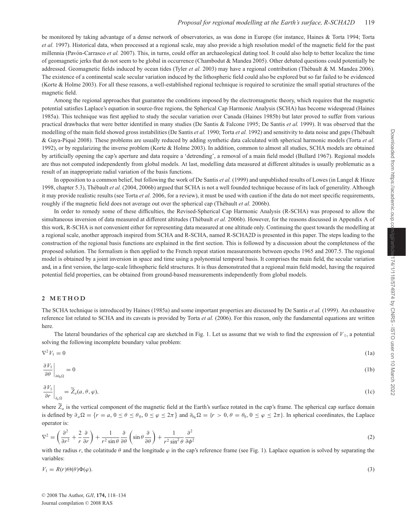be monitored by taking advantage of a dense network of observatories, as was done in Europe (for instance, Haines & Torta 1994; Torta *et al.* 1997). Historical data, when processed at a regional scale, may also provide a high resolution model of the magnetic field for the past millennia (Pavón-Carrasco et al. 2007). This, in turns, could offer an archaeological dating tool. It could also help to better localize the time of geomagnetic jerks that do not seem to be global in occurrence (Chambodut & Mandea 2005). Other debated questions could potentially be addressed. Geomagnetic fields induced by ocean tides (Tyler et al. 2003) may have a regional contribution (Thébault & M. Mandea 2006). The existence of a continental scale secular variation induced by the lithospheric field could also be explored but so far failed to be evidenced (Korte & Holme 2003). For all these reasons, a well-established regional technique is required to scrutinize the small spatial structures of the magnetic field.

Among the regional approaches that guarantee the conditions imposed by the electromagnetic theory, which requires that the magnetic potential satisfies Laplace's equation in source-free regions, the Spherical Cap Harmonic Analysis (SCHA) has become widespread (Haines 1985a). This technique was first applied to study the secular variation over Canada (Haines 1985b) but later proved to suffer from various practical drawbacks that were better identified in many studies (De Santis & Falcone 1995; De Santis *et al.* 1999). It was observed that the modelling of the main field showed gross instabilities (De Santis *et al.* 1990; Torta *et al.* 1992) and sensitivity to data noise and gaps (Thébault & Gaya-Piqu´e 2008). These problems are usually reduced by adding synthetic data calculated with spherical harmonic models (Torta *et al.* 1992), or by regularizing the inverse problem (Korte & Holme 2003). In addition, common to almost all studies, SCHA models are obtained by artificially opening the cap's aperture and data require a 'detrending', a removal of a main field model (Bullard 1967). Regional models are thus not computed independently from global models. At last, modelling data measured at different altitudes is usually problematic as a result of an inappropriate radial variation of the basis functions.

In opposition to a common belief, but following the work of De Santis *et al.* (1999) and unpublished results of Lowes (in Langel & Hinze 1998, chapter 5.3), Thébault *et al.* (2004, 2006b) argued that SCHA is not a well founded technique because of its lack of generality. Although it may provide realistic results (see Torta *et al.* 2006, for a review), it must be used with caution if the data do not meet specific requirements, roughly if the magnetic field does not average out over the spherical cap (Thébault *et al.* 2006b).

In order to remedy some of these difficulties, the Revised-Spherical Cap Harmonic Analysis (R-SCHA) was proposed to allow the simultaneous inversion of data measured at different altitudes (Thébault *et al.* 2006b). However, for the reasons discussed in Appendix A of this work, R-SCHA is not convenient either for representing data measured at one altitude only. Continuing the quest towards the modelling at a regional scale, another approach inspired from SCHA and R-SCHA, named R-SCHA2D is presented in this paper. The steps leading to the construction of the regional basis functions are explained in the first section. This is followed by a discussion about the completeness of the proposed solution. The formalism is then applied to the French repeat station measurements between epochs 1965 and 2007.5. The regional model is obtained by a joint inversion in space and time using a polynomial temporal basis. It comprises the main field, the secular variation and, in a first version, the large-scale lithospheric field structures. It is thus demonstrated that a regional main field model, having the required potential field properties, can be obtained from ground-based measurements independently from global models.

#### **2 METHOD**

The SCHA technique is introduced by Haines (1985a) and some important properties are discussed by De Santis *et al.* (1999). An exhaustive reference list related to SCHA and its caveats is provided by Torta *et al.* (2006). For this reason, only the fundamental equations are written here.

The lateral boundaries of the spherical cap are sketched in Fig. 1. Let us assume that we wish to find the expression of  $V_1$ , a potential solving the following incomplete boundary value problem:

$$
\nabla^2 V_1 = 0 \tag{1a}
$$

$$
\left. \frac{\partial V_1}{\partial \theta} \right|_{\partial \theta_0 \Omega} = 0 \tag{1b}
$$

$$
\left. \frac{\partial V_1}{\partial r} \right|_{\partial_a \Omega} = \widetilde{Z}_a(a, \theta, \varphi), \tag{1c}
$$

where  $\widetilde{Z}_a$  is the vertical component of the magnetic field at the Earth's surface rotated in the cap's frame. The spherical cap surface domain is defined by  $\partial_a \Omega = \{r = a, 0 \le \theta \le \theta_0, 0 \le \varphi \le 2\pi\}$  and  $\partial_{\theta_0} \Omega = \{r > 0, \theta = \theta_0, 0 \le \varphi \le 2\pi\}$ . In spherical coordinates, the Laplace operator is:

$$
\nabla^2 = \left(\frac{\partial^2}{\partial r^2} + \frac{2}{r}\frac{\partial}{\partial r}\right) + \frac{1}{r^2 \sin \theta} \frac{\partial}{\partial \theta} \left(\sin \theta \frac{\partial}{\partial \theta}\right) + \frac{1}{r^2 \sin^2 \theta} \frac{\partial^2}{\partial \phi^2}
$$
(2)

with the radius r, the colatitude  $\theta$  and the longitude  $\varphi$  in the cap's reference frame (see Fig. 1). Laplace equation is solved by separating the variables:

$$
V_1 = R(r)\Theta(\theta)\Phi(\varphi). \tag{3}
$$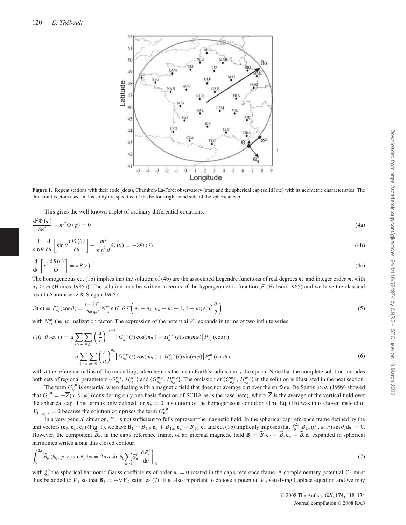

**Figure 1.** Repeat stations with their code (dots), Chambon-La-Forêt observatory (star) and the spherical cap (solid line) with its geometric characteristics. The three unit vectors used in this study are specified at the bottom-right-hand side of the spherical cap.

This gives the well-known triplet of ordinary differential equations:

$$
\frac{\mathrm{d}^2 \Phi(\varphi)}{\mathrm{d}\varphi^2} + m^2 \Phi(\varphi) = 0 \tag{4a}
$$

$$
\frac{1}{\sin \theta} \frac{d}{d\theta} \left[ \sin \theta \frac{d\Theta(\theta)}{d\theta} \right] - \frac{m^2}{\sin^2 \theta} \Theta(\theta) = -\lambda \Theta(\theta)
$$
\n(4b)

$$
\frac{\mathrm{d}}{\mathrm{d}r}\left[r^2\frac{\mathrm{d}R(r)}{\mathrm{d}r}\right] = \lambda R(r). \tag{4c}
$$

The homogeneous eq. (1b) implies that the solution of (4b) are the associated Legendre functions of real degrees *nk* and integer order *m*, with  $n_k \ge m$  (Haines 1985a). The solution may be written in terms of the hypergeometric function  $\mathcal F$  (Hobson 1965) and we have the classical result (Abramowitz & Stegun 1965):

$$
\Theta(x) \equiv P_{n_k}^m(\cos \theta) = \frac{(-1)^m}{2^m m!} N_{n_k}^m \sin^m \theta \mathcal{F}\left(m - n_k, n_k + m + 1, 1 + m; \sin^2 \frac{\theta}{2}\right)
$$
\n
$$
\tag{5}
$$

with  $N_{n_k}^m$  the normalization factor. The expression of the potential  $V_1$  expands in terms of two infinite series:

$$
V_1(r, \theta, \varphi, t) = a \sum_{k \ge m} \sum_{m \ge 0} \left(\frac{a}{r}\right)^{n_k + 1} \left[G_{n_k}^{i, m}(t) \cos(m\varphi) + H_{n_k}^{i, m}(t) \sin(m\varphi)\right] P_{n_k}^m(\cos \theta)
$$
  
+
$$
a \sum_{k \ge m} \sum_{m \ge 0} \left(\frac{r}{a}\right)^n \left[G_{n_k}^{e, m}(t) \cos(m\varphi) + H_{n_k}^{e, m}(t) \sin(m\varphi)\right] P_{n_k}^m(\cos \theta)
$$
(6)

with *a* the reference radius of the modelling, taken here as the mean Earth's radius, and *t* the epoch. Note that the complete solution includes both sets of regional parameters  $\{G^{m,i}_{n_k}, H^{m,i}_{n_k}\}$  and  $\{G^{m,e}_{n_k}, H^{m,e}_{n_k}\}$ . The omission of  $\{G^{m,e}_{n_k}, H^{m,e}_{n_k}\}$  in the solution is illustrated in the next section.

The term  $G_0^{i,0}$  is essential when dealing with a magnetic field that does not average out over the surface. De Santis *et al.* (1999) showed that  $G_0^{i,0} = -\overline{Z}(a,\theta,\varphi)$  (considering only one basis function of SCHA as is the case here), where  $\overline{Z}$  is the average of the vertical field over the spherical cap. This term is only defined for  $n_k = 0$ , a solution of the homogeneous condition (1b). Eq. (1b) was thus chosen instead of  $V_1|_{\partial_{\theta_0}\Omega} = 0$  because the solution comprises the term  $G_0^{i,0}$ .

In a very general situation,  $V_1$  is not sufficient to fully represent the magnetic field. In the spherical cap reference frame defined by the unit vectors  $(\mathbf{e}_{\theta}, \mathbf{e}_{\varphi}, \mathbf{e}_{r})$  (Fig. 1), we have  $\mathbf{B}_1 = B_{1,\theta} \mathbf{e}_{\theta} + B_{1,\varphi} \mathbf{e}_{\varphi} + B_{1,r} \mathbf{e}_r$  and eq. (1b) implicitly imposes that  $\int_0^{2\pi} B_{1,\theta}(\theta_0, \varphi, r) \sin \theta_0 d\varphi = 0$ . However, the component  $\widetilde{B}_{\theta}$ , in the cap's reference frame, of an internal magnetic field  $\mathbf{B} = \widetilde{B}_{\theta} \mathbf{e}_{\theta} + \widetilde{B}_{\theta} \mathbf{e}_{\varphi} + \widetilde{B}_{r} \mathbf{e}_{r}$  expanded in spherical harmonics writes along this closed contour:

$$
\int_0^{2\pi} \widetilde{B}_{\theta} \left( \theta_0, \varphi, r \right) \sin \theta_0 \, d\varphi = 2\pi a \sin \theta_0 \sum_{n \ge 1} \widetilde{g}_n^0 \left. \frac{dP_n^0}{d\theta} \right|_{\theta_0} \tag{7}
$$

with  $\tilde{g}_n^0$  the spherical harmonic Gauss coefficients of order  $m = 0$  rotated in the cap's reference frame. A complementary potential  $V_2$  must thus be added to  $V_1$  so that  $\mathbf{B}_2 = -\nabla V_2$  satisfies (7). It is also important to choose a potential  $V_2$  satisfying Laplace equation and we may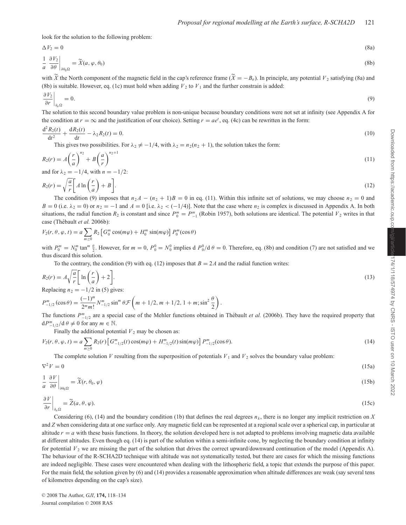look for the solution to the following problem:

$$
\Delta V_2 = 0
$$
\n
$$
\frac{1}{a} \left. \frac{\partial V_2}{\partial \theta} \right|_{\theta \theta_0 \Omega} = \widetilde{X}(a, \varphi, \theta_0)
$$
\n(8a)

with  $\widetilde{X}$  the North component of the magnetic field in the cap's reference frame  $(\widetilde{X} = -B_\theta)$ . In principle, any potential  $V_2$  satisfying (8a) and (8b) is suitable. However, eq. (1c) must hold when adding  $V_2$  to  $V_1$  and the further constrain is added:

$$
\left. \frac{\partial V_2}{\partial r} \right|_{\partial_a \Omega} = 0. \tag{9}
$$

The solution to this second boundary value problem is non-unique because boundary conditions were not set at infinity (see Appendix A for the condition at  $r = \infty$  and the justification of our choice). Setting  $r = ae^t$ , eq. (4c) can be rewritten in the form:

$$
\frac{d^2 R_2(t)}{dt^2} + \frac{dR_2(t)}{dt} - \lambda_2 R_2(t) = 0.
$$
\n(10)

This gives two possibilities. For  $\lambda_2 \neq -1/4$ , with  $\lambda_2 = n_2(n_2 + 1)$ , the solution takes the form:

$$
R_2(r) = A\left(\frac{r}{a}\right)^{n_2} + B\left(\frac{a}{r}\right)^{n_2+1} \tag{11}
$$

and for  $\lambda_2 = -1/4$ , with  $n = -1/2$ :

$$
R_2(r) = \sqrt{\frac{a}{r}} \left[ A \ln \left( \frac{r}{a} \right) + B \right].
$$
\n(12)

The condition (9) imposes that  $n_2 A - (n_2 + 1)B = 0$  in eq. (11). Within this infinite set of solutions, we may choose  $n_2 = 0$  and  $B = 0$  (i.e.  $\lambda_2 = 0$ ) or  $n_2 = -1$  and  $A = 0$  [i.e.  $\lambda_2 < (-1/4)$ ]. Note that the case where  $n_2$  is complex is discussed in Appendix A. In both situations, the radial function  $R_2$  is constant and since  $P_0^m = P_{-1}^m$  (Robin 1957), both solutions are identical. The potential  $V_2$  writes in that case (Thébault et al. 2006b):

$$
V_2(r,\theta,\varphi,t) = a \sum_{m\geq 0} R_2 \left[ G_0^m \cos(m\varphi) + H_0^m \sin(m\varphi) \right] P_0^m(\cos\theta)
$$

with  $P_0^m = N_0^m \tan^m \frac{\theta}{2}$ . However, for  $m = 0$ ,  $P_0^0 = N_0^0$  implies d  $P_0^0/d \theta = 0$ . Therefore, eq. (8b) and condition (7) are not satisfied and we thus discard this solution.

To the contrary, the condition (9) with eq. (12) imposes that  $B = 2A$  and the radial function writes:

$$
R_2(r) = A \sqrt{\frac{a}{r}} \left[ \ln \left( \frac{r}{a} \right) + 2 \right].
$$
\nBenlecing  $n_2 = -1/2$  in (5) gives:

Replacing  $n_2 = -1/2$  in (5) gives:

$$
P_{-1/2}^{m}\left(\cos\theta\right) = \frac{(-1)^{m}}{2^{m}m!}N_{-1/2}^{m}\sin^{m}\theta\mathcal{F}\left(m+1/2, m+1/2, 1+m; \sin^{2}\frac{\theta}{2}\right).
$$

The functions  $P_{-1/2}^m$  are a special case of the Mehler functions obtained in Thébault *et al.* (2006b). They have the required property that  $dP_{-1/2}^m/d\theta \neq 0$  for any  $m \in \mathbb{N}$ .

Finally the additional potential  $V_2$  may be chosen as:

$$
V_2(r,\theta,\varphi,t) = a \sum_{m\geq 0} R_2(r) \left[ G_{-1/2}^m(t) \cos(m\varphi) + H_{-1/2}^m(t) \sin(m\varphi) \right] P_{-1/2}^m(\cos\theta). \tag{14}
$$

The complete solution *V* resulting from the superposition of potentials  $V_1$  and  $V_2$  solves the boundary value problem:

$$
\nabla^2 V = 0
$$
\n
$$
\frac{1}{a} \left. \frac{\partial V}{\partial \theta} \right|_{\partial \theta_0 \Omega} = \widetilde{X}(r, \theta_0, \varphi)
$$
\n(15a)

$$
\left. \frac{\partial V}{\partial r} \right|_{\partial_a \Omega} = \widetilde{Z}(a, \theta, \varphi). \tag{15c}
$$

Considering (6), (14) and the boundary condition (1b) that defines the real degrees  $n_k$ , there is no longer any implicit restriction on *X* and *Z* when considering data at one surface only. Any magnetic field can be represented at a regional scale over a spherical cap, in particular at altitude  $r = a$  with these basis functions. In theory, the solution developed here is not adapted to problems involving magnetic data available at different altitudes. Even though eq. (14) is part of the solution within a semi-infinite cone, by neglecting the boundary condition at infinity for potential  $V_2$  we are missing the part of the solution that drives the correct upward/downward continuation of the model (Appendix A). The behaviour of the R-SCHA2D technique with altitude was not systematically tested, but there are cases for which the missing functions are indeed negligible. These cases were encountered when dealing with the lithospheric field, a topic that extends the purpose of this paper. For the main field, the solution given by (6) and (14) provides a reasonable approximation when altitude differences are weak (say several tens of kilometres depending on the cap's size).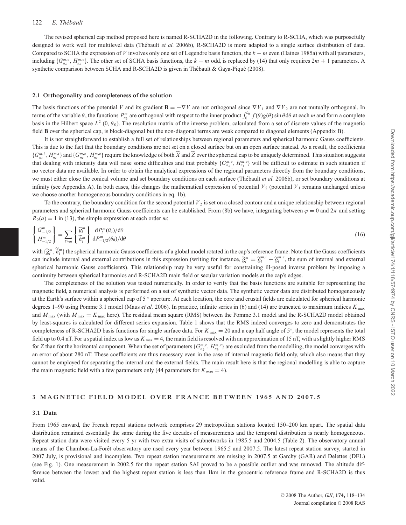#### 122 E. Thébault

The revised spherical cap method proposed here is named R-SCHA2D in the following. Contrary to R-SCHA, which was purposefully designed to work well for multilevel data (Thébault *et al.* 2006b), R-SCHA2D is more adapted to a single surface distribution of data. Compared to SCHA the expression of *V* involves only one set of Legendre basis function, the *k* − *m* even (Haines 1985a) with all parameters, including  ${G}^{m,e}_{n,k}$ ,  $H^{m,e}_{n,k}$ . The other set of SCHA basis functions, the  $k - m$  odd, is replaced by (14) that only requires  $2m + 1$  parameters. A synthetic comparison between SCHA and R-SCHA2D is given in Thébault & Gaya-Piqué (2008).

#### **2.1 Orthogonality and completeness of the solution**

The basis functions of the potential *V* and its gradient  $\mathbf{B} = -\nabla V$  are not orthogonal since  $\nabla V_1$  and  $\nabla V_2$  are not mutually orthogonal. In terms of the variable  $\theta$ , the functions  $P_{n_k}^m$  are orthogonal with respect to the inner product  $\int_0^{\theta_0} f(\theta)g(\theta) \sin \theta d\theta$  at each *m* and form a complete basis in the Hilbert space  $L^2$  (0,  $\theta_0$ ). The resolution matrix of the inverse problem, calculated from a set of discrete values of the magnetic field **B** over the spherical cap, is block-diagonal but the non-diagonal terms are weak compared to diagonal elements (Appendix B).

It is not straightforward to establish a full set of relationships between regional parameters and spherical harmonic Gauss coefficients. This is due to the fact that the boundary conditions are not set on a closed surface but on an open surface instead. As a result, the coefficients  $\{G_{n_k}^{m,i}, H_{n_k}^{m,i}\}\$ and  $\{G_{n_k}^{m,e}, H_{n_k}^{m,e}\}\$ require the knowledge of both  $\tilde{X}$  and  $\tilde{Z}$  over the spherical cap to be uniquely determined. This situation suggests that dealing with intensity data will raise some difficulties and that probably  $\{G^{m,e}_{n_k}, H^{m,e}_{n_k}\}$  will be difficult to estimate in such situation if no vector data are available. In order to obtain the analytical expressions of the regional parameters directly from the boundary conditions, we must either close the conical volume and set boundary conditions on each surface (Thébault *et al.* 2006b), or set boundary conditions at infinity (see Appendix A). In both cases, this changes the mathematical expression of potential  $V_2$  (potential  $V_1$  remains unchanged unless we choose another homogeneous boundary conditions in eq. 1b).

To the contrary, the boundary condition for the second potential  $V<sub>2</sub>$  is set on a closed contour and a unique relationship between regional parameters and spherical harmonic Gauss coefficients can be established. From (8b) we have, integrating between  $\varphi = 0$  and  $2\pi$  and setting  $R_2(a) = 1$  in (13), the simple expression at each order *m*:

$$
\begin{Bmatrix} G_{-1/2}^m \\ H_{-1/2}^m \end{Bmatrix} = \sum_{l \ge m} \begin{Bmatrix} \widetilde{g}_l^m \\ \widetilde{h}_l^m \end{Bmatrix} \frac{\mathrm{d}P_l^m(\theta_0)/\mathrm{d}\theta}{\mathrm{d}P_{-1/2}^m(\theta_0)/\mathrm{d}\theta} \tag{16}
$$

with  $\{\widetilde{g}_l^m, \widetilde{h}_l^m\}$  the spherical harmonic Gauss coefficients of a global model rotated in the cap's reference frame. Note that the Gauss coefficients can include internal and external contributions in this expression (writing for instance,  $\tilde{g}_l^m = \tilde{g}_l^{m,i} + \tilde{g}_l^{m,e}$ , the sum of internal and external spherical harmonic Gauss coefficients). This relationship may be very useful for constraining ill-posed inverse problem by imposing a continuity between spherical harmonics and R-SCHA2D main field or secular variation models at the cap's edges.

The completeness of the solution was tested numerically. In order to verify that the basis functions are suitable for representing the magnetic field, a numerical analysis is performed on a set of synthetic vector data. The synthetic vector data are distributed homogeneously at the Earth's surface within a spherical cap of 5 ◦ aperture. At each location, the core and crustal fields are calculated for spherical harmonic degrees 1–90 using Pomme 3.1 model (Maus *et al.* 2006). In practice, infinite series in (6) and (14) are truncated to maximum indices *K* max and  $M_{\text{max}}$  (with  $M_{\text{max}} = K_{\text{max}}$  here). The residual mean square (RMS) between the Pomme 3.1 model and the R-SCHA2D model obtained by least-squares is calculated for different series expansion. Table 1 shows that the RMS indeed converges to zero and demonstrates the completeness of R-SCHA2D basis functions for single surface data. For  $K_{\text{max}} = 20$  and a cap half angle of  $5^\circ$ , the model represents the total field up to 0.4 nT. For a spatial index as low as *K* max = 4, the main field is resolved with an approximation of 15 nT, with a slightly higher RMS for *Z* than for the horizontal component. When the set of parameters  $\{G_{n_k}^{m,e}, H_{n_k}^{m,e}\}$  are excluded from the modelling, the model converges with an error of about 280 nT. These coefficients are thus necessary even in the case of internal magnetic field only, which also means that they cannot be employed for separating the internal and the external fields. The main result here is that the regional modelling is able to capture the main magnetic field with a few parameters only (44 parameters for  $K_{\text{max}} = 4$ ).

## **3 MAGNETIC FIELD MODEL OVER FRANCE BETWEEN 1965 AND 2007.5**

#### **3.1 Data**

From 1965 onward, the French repeat stations network comprises 29 metropolitan stations located 150–200 km apart. The spatial data distribution remained essentially the same during the five decades of measurements and the temporal distribution is nearly homogeneous. Repeat station data were visited every 5 yr with two extra visits of subnetworks in 1985.5 and 2004.5 (Table 2). The observatory annual means of the Chambon-La-Forêt observatory are used every year between 1965.5 and 2007.5. The latest repeat station survey, started in 2007 July, is provisional and incomplete. Two repeat station measurements are missing in 2007.5 at Garchy (GAR) and Delettes (DEL) (see Fig. 1). One measurement in 2002.5 for the repeat station SAI proved to be a possible outlier and was removed. The altitude difference between the lowest and the highest repeat station is less than 1km in the geocentric reference frame and R-SCHA2D is thus valid.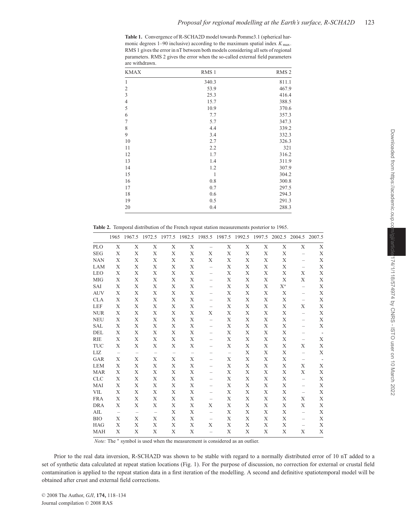**Table 1.** Convergence of R-SCHA2D model towards Pomme3.1 (spherical harmonic degrees  $1-90$  inclusive) according to the maximum spatial index  $K_{\text{max}}$ . RMS 1 gives the error in nT between both models considering all sets of regional parameters. RMS 2 gives the error when the so-called external field parameters are withdrawn.

| <b>KMAX</b>    | RMS <sub>1</sub> | RMS <sub>2</sub> |
|----------------|------------------|------------------|
| 1              | 340.3            | 811.1            |
| $\overline{c}$ | 53.9             | 467.9            |
| 3              | 25.3             | 416.4            |
| $\overline{4}$ | 15.7             | 388.5            |
| 5              | 10.9             | 370.6            |
| 6              | 7.7              | 357.3            |
| 7              | 5.7              | 347.3            |
| 8              | 4.4              | 339.2            |
| 9              | 3.4              | 332.3            |
| 10             | 2.7              | 326.3            |
| 11             | 2.2              | 321              |
| 12             | 1.7              | 316.2            |
| 13             | 1.4              | 311.9            |
| 14             | 1.2              | 307.9            |
| 15             | $\mathbf{1}$     | 304.2            |
| 16             | 0.8              | 300.8            |
| 17             | 0.7              | 297.5            |
| 18             | 0.6              | 294.3            |
| 19             | 0.5              | 291.3            |
| 20             | 0.4              | 288.3            |

**Table 2.** Temporal distribution of the French repeat station measurements posterior to 1965.

|            | 1965 |   |                          | 1967.5 1972.5 1977.5 1982.5 1985.5 1987.5 1992.5 1997.5 |   |                          |                          |             |             | 2002.5 |                          | 2004.5 2007.5            |
|------------|------|---|--------------------------|---------------------------------------------------------|---|--------------------------|--------------------------|-------------|-------------|--------|--------------------------|--------------------------|
| <b>PLO</b> | X    | X | X                        | X                                                       | X | $\overline{\phantom{0}}$ | X                        | X           | $\mathbf X$ | X      | X                        | X                        |
| <b>SEG</b> | Χ    | X | X                        | X                                                       | Х | Χ                        | X                        | X           | X           | X      |                          | X                        |
| <b>NAN</b> | X    | X | X                        | X                                                       | X | X                        | X                        | X           | X           | X      |                          | X                        |
| LAM        | X    | X | X                        | Х                                                       | X | -                        | X                        | X           | X           | X      |                          | X                        |
| <b>LEO</b> | X    | Χ | X                        | X                                                       | X |                          | X                        | X           | X           | X      | Χ                        | X                        |
| <b>MIG</b> | X    | X | X                        | X                                                       | X |                          | X                        | X           | X           | X      | Χ                        | X                        |
| SAI        | Χ    | X | X                        | Χ                                                       | Х |                          | X                        | X           | X           | $X^*$  | $\overline{\phantom{0}}$ | X                        |
| <b>AUV</b> | X    | X | X                        | X                                                       | X |                          | X                        | $\mathbf X$ | X           | X      |                          | X                        |
| <b>CLA</b> | X    | X | X                        | X                                                       | X |                          | X                        | X           | X           | X      | -                        | X                        |
| LEF        | X    | X | X                        | X                                                       | X | $\qquad \qquad -$        | X                        | X           | X           | X      | X                        | X                        |
| <b>NUR</b> | X    | Χ | X                        | X                                                       | X | Χ                        | X                        | X           | X           | X      |                          | X                        |
| <b>NEU</b> | X    | X | X                        | X                                                       | X |                          | X                        | X           | X           | X      |                          | X                        |
| <b>SAL</b> | X    | X | X                        | X                                                       | X |                          | X                        | X           | X           | X      |                          | X                        |
| DEL        | X    | X | X                        | X                                                       | X |                          | X                        | X           | X           | X      |                          | $\overline{\phantom{a}}$ |
| <b>RIE</b> | X    | X | X                        | X                                                       | X |                          | X                        | $\mathbf X$ | $\mathbf X$ | X      |                          | X                        |
| <b>TUC</b> | X    | X | X                        | Х                                                       | Х |                          | X                        | X           | X           | X      | X                        | X                        |
| LIZ        |      |   |                          |                                                         |   |                          | $\overline{\phantom{m}}$ | X           | X           | X      | $\qquad \qquad -$        | X                        |
| GAR        | X    | X | X                        | Х                                                       | X |                          | X                        | X           | X           | X      |                          |                          |
| <b>LEM</b> | Χ    | X | Χ                        | Χ                                                       | Х |                          | X                        | Χ           | X           | Χ      | Χ                        | X                        |
| <b>MAR</b> | X    | X | X                        | X                                                       | X |                          | X                        | $\mathbf X$ | $\mathbf X$ | X      | X                        | X                        |
| <b>CLC</b> | X    | X | X                        | X                                                       | X |                          | X                        | X           | X           | X      | $\qquad \qquad -$        | X                        |
| MAI        | X    | X | X                        | X                                                       | X |                          | Χ                        | X           | X           | X      |                          | X                        |
| VIL        | X    | Χ | Χ                        | Χ                                                       | Х |                          | X                        | X           | X           | X      |                          | X                        |
| <b>FRA</b> | X    | X | X                        | X                                                       | X | -                        | X                        | X           | X           | X      | Χ                        | X                        |
| <b>DRA</b> | Χ    | X | Χ                        | Χ                                                       | X | Χ                        | X                        | X           | X           | X      | Χ                        | X                        |
| AIL        |      |   | $\overline{\phantom{m}}$ | X                                                       | X | -                        | X                        | X           | X           | X      | $\qquad \qquad -$        | X                        |
| <b>BIO</b> | X    | X | X                        | X                                                       | X |                          | X                        | $\mathbf X$ | $\mathbf X$ | X      |                          | X                        |
| <b>HAG</b> | X    | X | X                        | X                                                       | X | X                        | X                        | X           | X           | X      |                          | X                        |
| <b>MAH</b> | X    | X | X                        | X                                                       | X | $\overline{\phantom{0}}$ | X                        | X           | X           | X      | X                        | X                        |

*Note:* The  $*$  symbol is used when the measurement is considered as an outlier.

Prior to the real data inversion, R-SCHA2D was shown to be stable with regard to a normally distributed error of 10 nT added to a set of synthetic data calculated at repeat station locations (Fig. 1). For the purpose of discussion, no correction for external or crustal field contamination is applied to the repeat station data in a first iteration of the modelling. A second and definitive spatiotemporal model will be obtained after crust and external field corrections.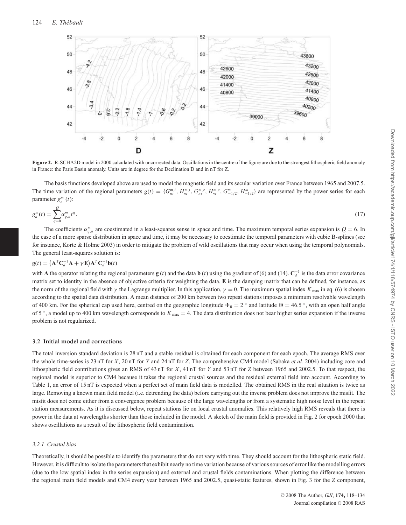

**Figure 2.** R-SCHA2D model in 2000 calculated with uncorrected data. Oscillations in the centre of the figure are due to the strongest lithospheric field anomaly in France: the Paris Basin anomaly. Units are in degree for the Declination D and in nT for Z.

The basis functions developed above are used to model the magnetic field and its secular variation over France between 1965 and 2007.5. The time variation of the regional parameters  $g(t) = \{G_{n_k}^{m,i}, H_{n_k}^{m,i}, G_{n_k}^{m,e}, H_{n_k}^{m,e}, G_{-1/2}^m, H_{-1/2}^m\}$  are represented by the power series for each parameter  $g_n^m(t)$ :

$$
g_n^m(t) = \sum_{q=0}^{Q} \alpha_{q,n}^m t^q.
$$
 (17)

The coefficients  $\alpha_{q,n}^m$  are coestimated in a least-squares sense in space and time. The maximum temporal series expansion is  $Q = 6$ . In the case of a more sparse distribution in space and time, it may be necessary to coestimate the temporal parameters with cubic B-splines (see for instance, Korte & Holme 2003) in order to mitigate the problem of wild oscillations that may occur when using the temporal polynomials. The general least-squares solution is:

$$
\mathbf{g}(t) = (\mathbf{A}^{\mathrm{T}} \mathbf{C}_d^{-1} \mathbf{A} + \gamma \mathbf{E}) \mathbf{A}^T \mathbf{C}_d^{-1} \mathbf{b}(t)
$$

with **A** the operator relating the regional parameters **g** (*t*) and the data **b** (*t*) using the gradient of (6) and (14).  $C_d^{-1}$  is the data error covariance matrix set to identity in the absence of objective criteria for weighting the data. **E** is the damping matrix that can be defined, for instance, as the norm of the regional field with  $\gamma$  the Lagrange multiplier. In this application,  $\gamma = 0$ . The maximum spatial index  $K_{\text{max}}$  in eq. (6) is chosen according to the spatial data distribution. A mean distance of 200 km between two repeat stations imposes a minimum resolvable wavelength of 400 km. For the spherical cap used here, centred on the geographic longitude  $\Phi_0 = 2^\circ$  and latitude  $\Theta = 46.5^\circ$ , with an open half angle of 5 ◦, a model up to 400 km wavelength corresponds to *K* max = 4. The data distribution does not bear higher series expansion if the inverse problem is not regularized.

# **3.2 Initial model and corrections**

The total inversion standard deviation is 28 nT and a stable residual is obtained for each component for each epoch. The average RMS over the whole time-series is 23 nT for *X*, 20 nT for *Y* and 24 nT for *Z*. The comprehensive CM4 model (Sabaka *et al.* 2004) including core and lithospheric field contributions gives an RMS of 43 nT for *X*, 41 nT for *Y* and 53 nT for *Z* between 1965 and 2002.5. To that respect, the regional model is superior to CM4 because it takes the regional crustal sources and the residual external field into account. According to Table 1, an error of 15 nT is expected when a perfect set of main field data is modelled. The obtained RMS in the real situation is twice as large. Removing a known main field model (i.e. detrending the data) before carrying out the inverse problem does not improve the misfit. The misfit does not come either from a convergence problem because of the large wavelengths or from a systematic high noise level in the repeat station measurements. As it is discussed below, repeat stations lie on local crustal anomalies. This relatively high RMS reveals that there is power in the data at wavelengths shorter than those included in the model. A sketch of the main field is provided in Fig. 2 for epoch 2000 that shows oscillations as a result of the lithospheric field contamination.

# *3.2.1 Crustal bias*

Theoretically, it should be possible to identify the parameters that do not vary with time. They should account for the lithospheric static field. However, it is difficult to isolate the parameters that exhibit nearly no time variation because of various sources of error like the modelling errors (due to the low spatial index in the series expansion) and external and crustal fields contaminations. When plotting the difference between the regional main field models and CM4 every year between 1965 and 2002.5, quasi-static features, shown in Fig. 3 for the *Z* component,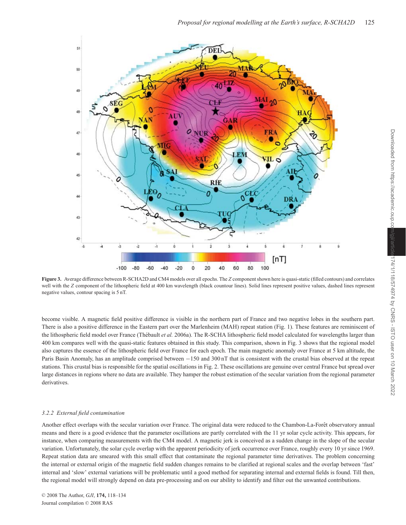

**Figure 3.** Average difference between R-SCHA2D and CM4 models over all epochs. The *Z* component shown here is quasi-static (filled contours) and correlates well with the *Z* component of the lithospheric field at 400 km wavelength (black countour lines). Solid lines represent positive values, dashed lines represent negative values, contour spacing is 5 nT.

become visible. A magnetic field positive difference is visible in the northern part of France and two negative lobes in the southern part. There is also a positive difference in the Eastern part over the Marlenheim (MAH) repeat station (Fig. 1). These features are reminiscent of the lithospheric field model over France (Thébault et al. 2006a). The R-SCHA lithospheric field model calculated for wavelengths larger than 400 km compares well with the quasi-static features obtained in this study. This comparison, shown in Fig. 3 shows that the regional model also captures the essence of the lithospheric field over France for each epoch. The main magnetic anomaly over France at 5 km altitude, the Paris Basin Anomaly, has an amplitude comprised between −150 and 300 nT that is consistent with the crustal bias observed at the repeat stations. This crustal bias is responsible for the spatial oscillations in Fig. 2. These oscillations are genuine over central France but spread over large distances in regions where no data are available. They hamper the robust estimation of the secular variation from the regional parameter derivatives.

# *3.2.2 External field contamination*

Another effect overlaps with the secular variation over France. The original data were reduced to the Chambon-La-Forêt observatory annual means and there is a good evidence that the parameter oscillations are partly correlated with the 11 yr solar cycle activity. This appears, for instance, when comparing measurements with the CM4 model. A magnetic jerk is conceived as a sudden change in the slope of the secular variation. Unfortunately, the solar cycle overlap with the apparent periodicity of jerk occurrence over France, roughly every 10 yr since 1969. Repeat station data are smeared with this small effect that contaminate the regional parameter time derivatives. The problem concerning the internal or external origin of the magnetic field sudden changes remains to be clarified at regional scales and the overlap between 'fast' internal and 'slow' external variations will be problematic until a good method for separating internal and external fields is found. Till then, the regional model will strongly depend on data pre-processing and on our ability to identify and filter out the unwanted contributions.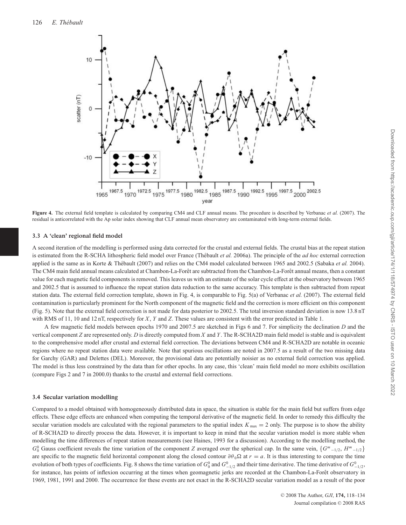

**Figure 4.** The external field template is calculated by comparing CM4 and CLF annual means. The procedure is described by Verbanac *et al.* (2007). The residual is anticorrelated with the Ap solar index showing that CLF annual mean observatory are contaminated with long-term external fields.

#### **3.3 A 'clean' regional field model**

A second iteration of the modelling is performed using data corrected for the crustal and external fields. The crustal bias at the repeat station is estimated from the R-SCHA lithospheric field model over France (Thébault *et al.* 2006a). The principle of the *ad hoc* external correction applied is the same as in Korte & Thébault (2007) and relies on the CM4 model calculated between 1965 and 2002.5 (Sabaka *et al.* 2004). The CM4 main field annual means calculated at Chambon-La-Forêt are subtracted from the Chambon-La-Forêt annual means, then a constant value for each magnetic field components is removed. This leaves us with an estimate of the solar cycle effect at the observatory between 1965 and 2002.5 that is assumed to influence the repeat station data reduction to the same accuracy. This template is then subtracted from repeat station data. The external field correction template, shown in Fig. 4, is comparable to Fig. 5(a) of Verbanac *et al.* (2007). The external field contamination is particularly prominent for the North component of the magnetic field and the correction is more efficient on this component (Fig. 5). Note that the external field correction is not made for data posterior to 2002.5. The total inversion standard deviation is now 13.8 nT with RMS of 11, 10 and 12 nT, respectively for *X*, *Y* and *Z*. These values are consistent with the error predicted in Table 1.

A few magnetic field models between epochs 1970 and 2007.5 are sketched in Figs 6 and 7. For simplicity the declination *D* and the vertical component *Z* are represented only. *D* is directly computed from *X* and *Y*. The R-SCHA2D main field model is stable and is equivalent to the comprehensive model after crustal and external field correction. The deviations between CM4 and R-SCHA2D are notable in oceanic regions where no repeat station data were available. Note that spurious oscillations are noted in 2007.5 as a result of the two missing data for Garchy (GAR) and Delettes (DEL). Moreover, the provisional data are potentially noisier as no external field correction was applied. The model is thus less constrained by the data than for other epochs. In any case, this 'clean' main field model no more exhibits oscillation (compare Figs 2 and 7 in 2000.0) thanks to the crustal and external field corrections.

## **3.4 Secular variation modelling**

Compared to a model obtained with homogeneously distributed data in space, the situation is stable for the main field but suffers from edge effects. These edge effects are enhanced when computing the temporal derivative of the magnetic field. In order to remedy this difficulty the secular variation models are calculated with the regional parameters to the spatial index  $K_{\text{max}} = 2$  only. The purpose is to show the ability of R-SCHA2D to directly process the data. However, it is important to keep in mind that the secular variation model is more stable when modelling the time differences of repeat station measurements (see Haines, 1993 for a discussion). According to the modelling method, the *G*<sup>0</sup> Gauss coefficient reveals the time variation of the component *Z* averaged over the spherical cap. In the same vein, {*G*<sup>*m*</sup> −1/2, *H*<sup>*m*</sup> −1/2} are specific to the magnetic field horizontal component along the closed contour  $\partial \theta_0 \Omega$  at  $r = a$ . It is thus interesting to compare the time evolution of both types of coefficients. Fig. 8 shows the time variation of  $G_0^0$  and  $G_{-1/2}^0$  and their time derivative. The time derivative of  $G_{-1/2}^0$ , for instance, has points of inflexion occurring at the times when geomagnetic jerks are recorded at the Chambon-La-Forêt observatory in 1969, 1981, 1991 and 2000. The occurrence for these events are not exact in the R-SCHA2D secular variation model as a result of the poor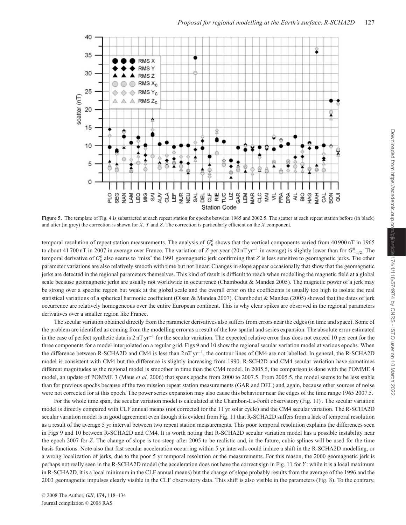

Figure 5. The template of Fig. 4 is substracted at each repeat station for epochs between 1965 and 2002.5. The scatter at each repeat station before (in black) and after (in grey) the correction is shown for *X*, *Y* and *Z*. The correction is particularly efficient on the *X* component.

temporal resolution of repeat station measurements. The analysis of  $G_0^0$  shows that the vertical components varied from 40 900 nT in 1965 to about 41 700 nT in 2007 in average over France. The variation of *Z* per year (20 nT yr<sup>-1</sup> in average) is slightly lower than for  $G^0_{-1/2}$ . The temporal derivative of  $G_0^0$  also seems to 'miss' the 1991 geomagnetic jerk confirming that *Z* is less sensitive to geomagnetic jerks. The other parameter variations are also relatively smooth with time but not linear. Changes in slope appear occasionally that show that the geomagnetic jerks are detected in the regional parameters themselves. This kind of result is difficult to reach when modelling the magnetic field at a global scale because geomagnetic jerks are usually not worldwide in occurrence (Chambodut & Mandea 2005). The magnetic power of a jerk may be strong over a specific region but weak at the global scale and the overall error on the coefficients is usually too high to isolate the real statistical variations of a spherical harmonic coefficient (Olsen & Mandea 2007). Chambodut & Mandea (2005) showed that the dates of jerk occurrence are relatively homogeneous over the entire European continent. This is why clear spikes are observed in the regional parameters derivatives over a smaller region like France.

The secular variation obtained directly from the parameter derivatives also suffers from errors near the edges (in time and space). Some of the problem are identified as coming from the modelling error as a result of the low spatial and series expansion. The absolute error estimated in the case of perfect synthetic data is  $2 \text{ nT yr}^{-1}$  for the secular variation. The expected relative error thus does not exceed 10 per cent for the three components for a model interpolated on a regular grid. Figs 9 and 10 show the regional secular variation model at various epochs. When the difference between R-SCHA2D and CM4 is less than 2 nT yr<sup>−</sup>1, the contour lines of CM4 are not labelled. In general, the R-SCHA2D model is consistent with CM4 but the difference is slightly increasing from 1990. R-SCH2D and CM4 secular variation have sometimes different magnitudes as the regional model is smoother in time than the CM4 model. In 2005.5, the comparison is done with the POMME 4 model, an update of POMME 3 (Maus *et al.* 2006) that spans epochs from 2000 to 2007.5. From 2005.5, the model seems to be less stable than for previous epochs because of the two mission repeat station measurements (GAR and DEL) and, again, because other sources of noise were not corrected for at this epoch. The power series expansion may also cause this behaviour near the edges of the time range 1965 2007.5.

For the whole time span, the secular variation model is calculated at the Chambon-La-Forêt observatory (Fig. 11). The secular variation model is directly compared with CLF annual means (not corrected for the 11 yr solar cycle) and the CM4 secular variation. The R-SCHA2D secular variation model is in good agreement even though it is evident from Fig. 11 that R-SCHA2D suffers from a lack of temporal resolution as a result of the average 5 yr interval between two repeat station measurements. This poor temporal resolution explains the differences seen in Figs 9 and 10 between R-SCHA2D and CM4. It is worth noting that R-SCHA2D secular variation model has a possible instability near the epoch 2007 for *Z*. The change of slope is too steep after 2005 to be realistic and, in the future, cubic splines will be used for the time basis functions. Note also that fast secular acceleration occurring within 5 yr intervals could induce a shift in the R-SCHA2D modelling, or a wrong localization of jerks, due to the poor 5 yr temporal resolution or the measurements. For this reason, the 2000 geomagnetic jerk is perhaps not really seen in the R-SCHA2D model (the acceleration does not have the correct sign in Fig. 11 for *Y* : while it is a local maximum in R-SCHA2D, it is a local minimum in the CLF annual means) but the change of slope probably results from the average of the 1996 and the 2003 geomagnetic impulses clearly visible in the CLF observatory data. This shift is also visible in the parameters (Fig. 8). To the contrary,

© 2008 The Author, *GJI*, **174**, 118-134 Journal compilation © 2008 RAS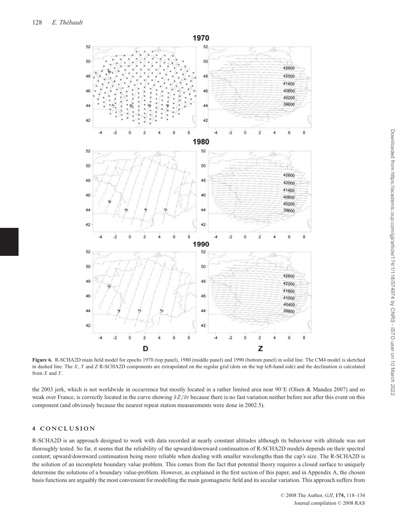

**Figure 6.** R-SCHA2D main field model for epochs 1970 (top panel), 1980 (middle panel) and 1990 (bottom panel) in solid line. The CM4 model is sketched in dashed line. The *X*, *Y* and *Z* R-SCHA2D components are extrapolated on the regular grid (dots on the top left-hand side) and the declination is calculated from *X* and *Y*.

the 2003 jerk, which is not worldwide in occurrence but mostly located in a rather limited area near 90◦E (Olsen & Mandea 2007) and so weak over France, is correctly located in the curve showing  $\partial Z/\partial t$  because there is no fast variation neither before nor after this event on this component (and obviously because the nearest repeat station measurements were done in 2002.5).

# **4 CONCLUSION**

R-SCHA2D is an approach designed to work with data recorded at nearly constant altitudes although its behaviour with altitude was not thoroughly tested. So far, it seems that the reliability of the upward/downward continuation of R-SCHA2D models depends on their spectral content; upward/downward continuation being more reliable when dealing with smaller wavelengths than the cap's size. The R-SCHA2D is the solution of an incomplete boundary value problem. This comes from the fact that potential theory requires a closed surface to uniquely determine the solutions of a boundary value-problem. However, as explained in the first section of this paper, and in Appendix A, the chosen basis functions are arguably the most convenient for modelling the main geomagnetic field and its secular variation. This approach suffers from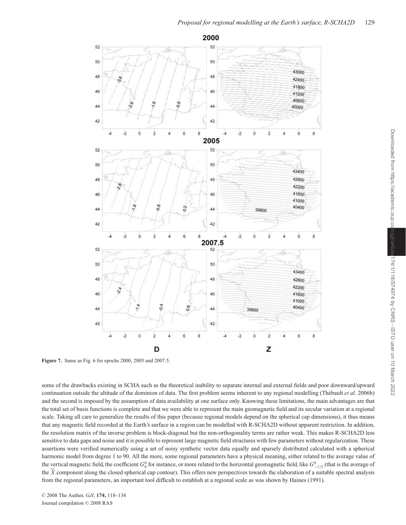

Downloaded from https://academic.oup.com/gji/article Downloaded from https://academic.oup.com/gji/article/174/1/118/574974 by CNRS - ISTO user on 10 March 2022174/1/118/574974 by CNRS - ISTO user on 10 March 2022

**Figure 7.** Same as Fig. 6 for epochs 2000, 2005 and 2007.5.

some of the drawbacks existing in SCHA such as the theoretical inability to separate internal and external fields and poor downward/upward continuation outside the altitude of the dominion of data. The first problem seems inherent to any regional modelling (Thébault *et al.* 2006b) and the second is imposed by the assumption of data availability at one surface only. Knowing these limitations, the main advantages are that the total set of basis functions is complete and that we were able to represent the main geomagnetic field and its secular variation at a regional scale. Taking all care to generalize the results of this paper (because regional models depend on the spherical cap dimensions), it thus means that any magnetic field recorded at the Earth's surface in a region can be modelled with R-SCHA2D without apparent restriction. In addition, the resolution matrix of the inverse problem is block-diagonal but the non-orthogonality terms are rather weak. This makes R-SCHA2D less sensitive to data gaps and noise and it is possible to represent large magnetic field structures with few parameters without regularization. These assertions were verified numerically using a set of noisy synthetic vector data equally and sparsely distributed calculated with a spherical harmonic model from degree 1 to 90. All the more, some regional parameters have a physical meaning, either related to the average value of the vertical magnetic field, the coefficient  $G_0^0$  for instance, or more related to the horizontal geomagnetic field, like  $G_{-1/2}^0$  (that is the average of the  $\overline{X}$  component along the closed spherical cap contour). This offers new perspectives towards the elaboration of a suitable spectral analysis from the regional parameters, an important tool difficult to establish at a regional scale as was shown by Haines (1991).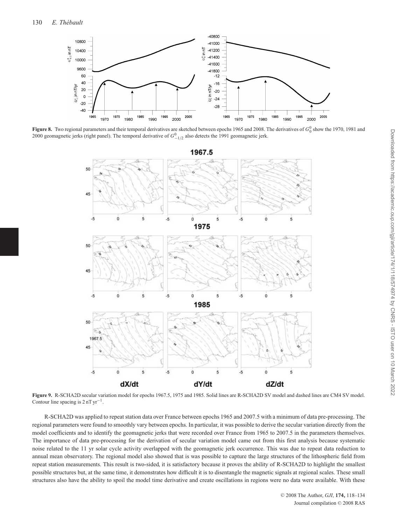

**Figure 8.** Two regional parameters and their temporal derivatives are sketched between epochs 1965 and 2008. The derivatives of  $G_0^0$  show the 1970, 1981 and 2000 geomagnetic jerks (right panel). The temporal derivative of  $G^0_{-1/2}$  also detects the 1991 geomagnetic jerk.



**Figure 9.** R-SCHA2D secular variation model for epochs 1967.5, 1975 and 1985. Solid lines are R-SCHA2D SV model and dashed lines are CM4 SV model. Contour line spacing is  $2 \text{ nT yr}^{-1}$ .

R-SCHA2D was applied to repeat station data over France between epochs 1965 and 2007.5 with a minimum of data pre-processing. The regional parameters were found to smoothly vary between epochs. In particular, it was possible to derive the secular variation directly from the model coefficients and to identify the geomagnetic jerks that were recorded over France from 1965 to 2007.5 in the parameters themselves. The importance of data pre-processing for the derivation of secular variation model came out from this first analysis because systematic noise related to the 11 yr solar cycle activity overlapped with the geomagnetic jerk occurrence. This was due to repeat data reduction to annual mean observatory. The regional model also showed that is was possible to capture the large structures of the lithospheric field from repeat station measurements. This result is two-sided, it is satisfactory because it proves the ability of R-SCHA2D to highlight the smallest possible structures but, at the same time, it demonstrates how difficult it is to disentangle the magnetic signals at regional scales. These small structures also have the ability to spoil the model time derivative and create oscillations in regions were no data were available. With these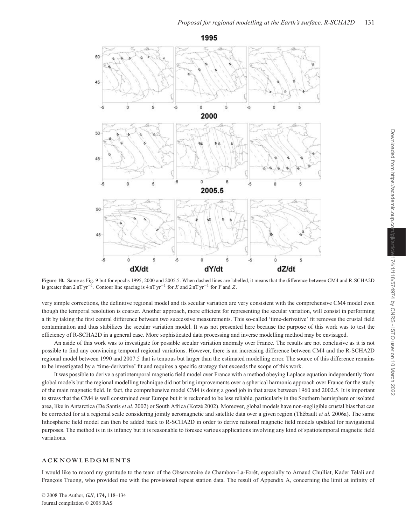

**Figure 10.** Same as Fig. 9 but for epochs 1995, 2000 and 2005.5. When dashed lines are labelled, it means that the difference between CM4 and R-SCHA2D is greater than 2 nT yr<sup>−</sup>1. Contour line spacing is 4 nT yr<sup>−</sup><sup>1</sup> for *X* and 2 nT yr−<sup>1</sup> for *Y* and *Z*.

very simple corrections, the definitive regional model and its secular variation are very consistent with the comprehensive CM4 model even though the temporal resolution is coarser. Another approach, more efficient for representing the secular variation, will consist in performing a fit by taking the first central difference between two successive measurements. This so-called 'time-derivative' fit removes the crustal field contamination and thus stabilizes the secular variation model. It was not presented here because the purpose of this work was to test the efficiency of R-SCHA2D in a general case. More sophisticated data processing and inverse modelling method may be envisaged.

An aside of this work was to investigate for possible secular variation anomaly over France. The results are not conclusive as it is not possible to find any convincing temporal regional variations. However, there is an increasing difference between CM4 and the R-SCHA2D regional model between 1990 and 2007.5 that is tenuous but larger than the estimated modelling error. The source of this difference remains to be investigated by a 'time-derivative' fit and requires a specific strategy that exceeds the scope of this work.

It was possible to derive a spatiotemporal magnetic field model over France with a method obeying Laplace equation independently from global models but the regional modelling technique did not bring improvements over a spherical harmonic approach over France for the study of the main magnetic field. In fact, the comprehensive model CM4 is doing a good job in that areas between 1960 and 2002.5. It is important to stress that the CM4 is well constrained over Europe but it is reckoned to be less reliable, particularly in the Southern hemisphere or isolated area, like in Antarctica (De Santis *et al.* 2002) or South Africa (Kotzé 2002). Moreover, global models have non-negligible crustal bias that can be corrected for at a regional scale considering jointly aeromagnetic and satellite data over a given region (Thébault *et al.* 2006a). The same lithospheric field model can then be added back to R-SCHA2D in order to derive national magnetic field models updated for navigational purposes. The method is in its infancy but it is reasonable to foresee various applications involving any kind of spatiotemporal magnetic field variations.

## **ACKNOWLEDGMENTS**

I would like to record my gratitude to the team of the Observatoire de Chambon-La-Forêt, especially to Arnaud Chulliat, Kader Telali and François Truong, who provided me with the provisional repeat station data. The result of Appendix A, concerning the limit at infinity of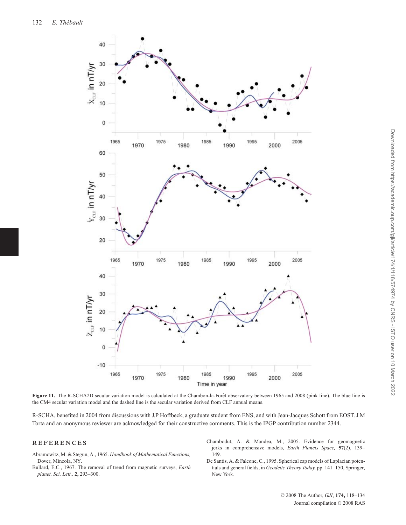

Figure 11. The R-SCHA2D secular variation model is calculated at the Chambon-la-Forêt observatory between 1965 and 2008 (pink line). The blue line is the CM4 secular variation model and the dashed line is the secular variation derived from CLF annual means.

R-SCHA, benefited in 2004 from discussions with J.P Hoffbeck, a graduate student from ENS, and with Jean-Jacques Schott from EOST. J.M Torta and an anonymous reviewer are acknowledged for their constructive comments. This is the IPGP contribution number 2344.

# **REFERENCES**

- Abramowitz, M. & Stegun, A., 1965. *Handbook of Mathematical Functions,* Dover, Mineola, NY.
- Bullard, E.C., 1967. The removal of trend from magnetic surveys, *Earth planet. Sci. Lett.,* **2,** 293–300.
- Chambodut, A. & Mandea, M., 2005. Evidence for geomagnetic jerks in comprehensive models, *Earth Planets Space,* **57**(2), 139– 149.
- De Santis, A. & Falcone, C., 1995. Spherical cap models of Laplacian potentials and general fields, in *Geodetic Theory Today,* pp. 141–150, Springer, New York.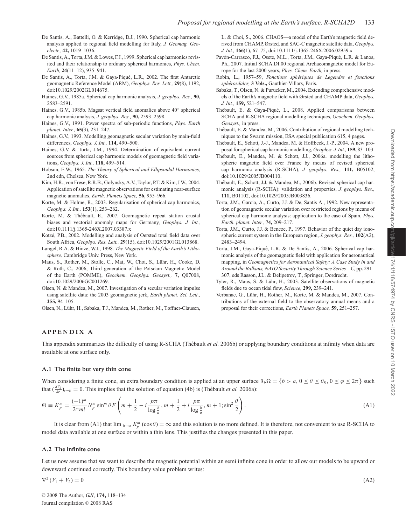- De Santis, A., Battelli, O. & Kerridge, D.J., 1990. Spherical cap harmonic analysis applied to regional field modelling for Italy, *J. Geomag. Geoelectr.,* **42,** 1019–1036.
- De Santis, A., Torta, J.M. & Lowes, F.J., 1999. Spherical cap harmonics revisited and their relationship to ordinary spherical harmonics, *Phys. Chem. Earth,* **24**(11–12), 935–941.
- De Santis, A., Torta, J.M. & Gaya-Piqué, L.R., 2002. The first Antarctic geomagnetic Reference Model (ARM), *Geophys. Res. Lett.,* **29**(8), 1192, doi:10.1029/2002GL014675.
- Haines, G.V., 1985a. Spherical cap harmonic analysis, *J. geophys. Res.,* **90,** 2583–2591.
- Haines, G.V., 1985b. Magsat vertical field anomalies above 40◦ spherical cap harmonic analysis, *J. geophys. Res.,* **90,** 2593–2598.
- Haines, G.V., 1991. Power spectra of sub-periodic functions, *Phys. Earth planet. Inter.,* **65**(3), 231–247.
- Haines, G.V., 1993. Modelling geomagnetic secular variation by main-field differences, *Geophys. J. Int.,* **114,** 490–500.
- Haines, G.V. & Torta, J.M., 1994. Determination of equivalent current sources from spherical cap harmonic models of geomagnetic field variations, *Geophys. J. Int.,* **118,** 499–514.
- Hobson, E.W., 1965. *The Theory of Spherical and Ellipsoidal Harmonics,* 2nd edn, Chelsea, New York.
- Kim, H.R., von Frese, R.R.B., Golynsky, A.V., Taylor, P.T. & Kim, J.W., 2004. Application of satellite magnetic observations for estimating near-surface magnetic anomalies, *Earth, Planets Space,* **56,** 955–966.
- Korte, M. & Holme, R., 2003. Regularisation of spherical cap harmonics, *Geophys. J. Int.,* **153**(1), 253–262.
- Korte, M. & Thébault, E., 2007. Geomagnetic repeat station crustal biases and vectorial anomaly maps for Germany, *Geophys. J. Int.,* doi:10.1111/j.1365-246X.2007.03387.x
- Kotzé, P.B., 2002. Modelling and analysis of Oersted total field data over South Africa, *Geophys. Res. Lett.,* **29**(15), doi:10.1029/2001GL013868.
- Langel, R.A. & Hinze, W.J., 1998. *The Magnetic Field of the Earth's Lithosphere,* Cambridge Univ. Press, New York.
- Maus, S., Rother, M., Stolle, C., Mai, W., Choi, S., Lühr, H., Cooke, D. & Roth, C., 2006, Third generation of the Potsdam Magnetic Model of the Earth (POMME), *Geochem. Geophys. Geosyst.,* **7,** Q07008, doi:10.1029/2006GC001269.
- Olsen, N. & Mandea, M., 2007. Investigation of a secular variation impulse using satellite data: the 2003 geomagnetic jerk, *Earth planet. Sci. Lett.,* **255,** 94–105.

Olsen, N., Lühr, H., Sabaka, T.J., Mandea, M., Rother, M., Tøffner-Clausen,

L. & Choi, S., 2006. CHAOS—a model of the Earth's magnetic field derived from CHAMP, Ørsted, and SAC-C magnetic satellite data, *Geophys. J. Int.,* **166**(1), 67–75, doi:10.1111/j.1365-246X.2006.02959.x

- Pavón-Carrasco, F.J., Osete, M.L., Torta, J.M., Gaya-Piqué, L.R. & Lanos, Ph., 2007. Initial SCHA.DI.00 regional Archaeomagnetic model for Europe for the last 2000 years, *Phys. Chem. Earth,* in press.
- Robin, L., 1957–59, *Fonctions sph´eriques de Legendre et fonctions sph´eroıdales,* **3 Vols.,** Gauthier-Villars, Paris.
- Sabaka, T., Olsen, N. & Purucker, M., 2004. Extending comprehensive models of the Earth's magnetic field with Ørsted and CHAMP data, *Geophys. J. Int.,* **159,** 521–547.
- Thébault, E. & Gaya-Piqué, L., 2008. Applied comparisons between SCHA and R-SCHA regional modelling techniques, *Geochem. Geophys. Geosyst.,* in press.
- Thébault, E. & Mandea, M., 2006. Contribution of regional modelling techniques to the Swarm mission, ESA special publication 615, 4 pages.
- Thébault, E., Schott, J.-J., Mandea, M. & Hoffbeck, J.-P., 2004. A new proposal for spherical cap harmonic modelling, *Geophys. J. Int.,* **159,** 83–103.
- Thébault, E., Mandea, M. & Schott, J.J., 2006a. modelling the lithospheric magnetic field over France by means of revised spherical cap harmonic analysis (R-SCHA), *J. geophys. Res.,* **111,** B05102, doi:10.1029/2005JB004110.
- Thébault, E., Schott, J.J. & Mandea, M., 2006b. Revised spherical cap harmonic analysis (R-SCHA): validation and properties, *J. geophys. Res.,* **111,** B01102, doi:10.1029/2005JB003836.
- Torta, J.M., Garcia, A., Curto, J.J. & De, Santis A., 1992. New representation of geomagnetic secular variation over restricted regions by means of spherical cap harmonic analysis: application to the case of Spain, *Phys. Earth. planet. Inter.,* **74,** 209–217.
- Torta, J.M., Curto, J.J. & Bencze, P., 1997. Behavior of the quiet day ionospheric current system in the European region, *J. geophys. Res.,* **102**(A2), 2483–2494.
- Torta, J.M., Gaya-Piqué, L.R. & De Santis, A., 2006. Spherical cap harmonic analysis of the geomagnetic field with application for aeronautical mapping, in *Geomagnetics for Aeronautical Safety: A Case Study in and Around the Balkans, NATO Security Through Science Series—C,* pp. 291– 307, eds Rasson, J.L. & Delipetrov, T., Springer, Dordrecht.
- Tyler, R., Maus, S. & Lühr, H., 2003. Satellite observations of magnetic fields due to ocean tidal flow, *Science,* **299,** 239–241.
- Verbanac, G., Lühr, H., Rother, M., Korte, M. & Mandea, M., 2007. Contributions of the external field to the observatory annual means and a proposal for their corrections, *Earth Planets Space,* **59,** 251–257.

#### **APPENDIX A**

This appendix summarizes the difficulty of using R-SCHA (Thébault *et al.* 2006b) or applying boundary conditions at infinity when data are available at one surface only.

#### **A.1 The finite but very thin cone**

When considering a finite cone, an extra boundary condition is applied at an upper surface  $\partial_b \Omega = \{b > a, 0 \le \theta \le \theta_0, 0 \le \varphi \le 2\pi\}$  such that  $(\frac{\partial V_2}{\partial r})_{r=b} = 0$ . This implies that the solution of equation (4b) is (Thébault *et al.* 2006a):

$$
\Theta \equiv K_p^m = \frac{(-1)^m}{2^m m!} N_p^m \sin^m \theta F \left( m + \frac{1}{2} - i \frac{p \pi}{\log \frac{b}{a}}, m + \frac{1}{2} + i \frac{p \pi}{\log \frac{b}{a}}, m + 1; \sin^2 \frac{\theta}{2} \right). \tag{A1}
$$

It is clear from (A1) that lim  $_{b\to a} K_p^m(\cos\theta) = \infty$  and this solution is no more defined. It is therefore, not convenient to use R-SCHA to model data available at one surface or within a thin lens. This justifies the changes presented in this paper.

#### **A.2 The infinite cone**

Let us now assume that we want to describe the magnetic potential within an semi infinite cone in order to allow our models to be upward or downward continued correctly. This boundary value problem writes:

$$
\nabla^2 \left( V_1 + V_2 \right) = 0 \tag{A2}
$$

© 2008 The Author, *GJI*, **174**, 118-134 Journal compilation © 2008 RAS